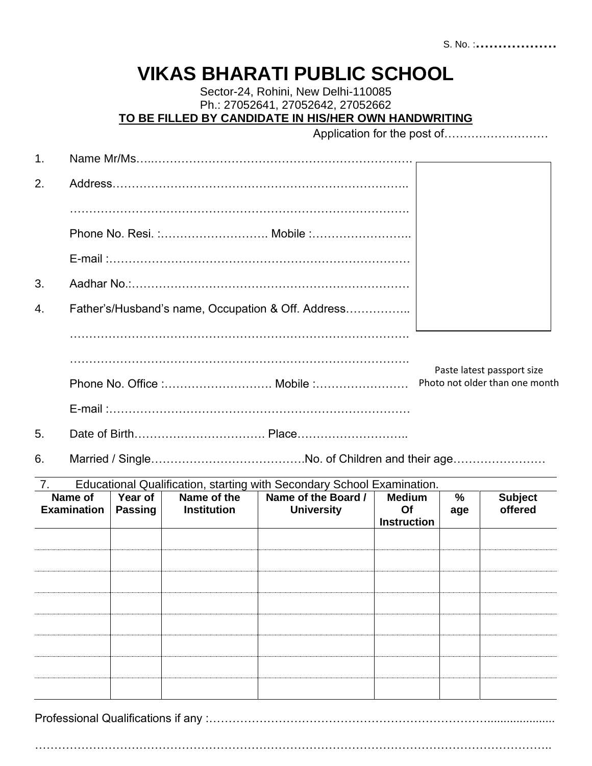## **VIKAS BHARATI PUBLIC SCHOOL**

Sector-24, Rohini, New Delhi-110085 Ph.: 27052641, 27052642, 27052662 **TO BE FILLED BY CANDIDATE IN HIS/HER OWN HANDWRITING**

Application for the post of………………………

| 1. |                                                    |                           |                            |                                                                        |                                           |          |                                |  |  |
|----|----------------------------------------------------|---------------------------|----------------------------|------------------------------------------------------------------------|-------------------------------------------|----------|--------------------------------|--|--|
| 2. |                                                    |                           |                            |                                                                        |                                           |          |                                |  |  |
|    |                                                    |                           |                            |                                                                        |                                           |          |                                |  |  |
|    |                                                    |                           |                            |                                                                        |                                           |          |                                |  |  |
|    |                                                    |                           |                            |                                                                        |                                           |          |                                |  |  |
| 3. |                                                    |                           |                            |                                                                        |                                           |          |                                |  |  |
| 4. | Father's/Husband's name, Occupation & Off. Address |                           |                            |                                                                        |                                           |          |                                |  |  |
|    |                                                    |                           |                            |                                                                        |                                           |          |                                |  |  |
|    |                                                    |                           |                            |                                                                        |                                           |          | Paste latest passport size     |  |  |
|    |                                                    |                           |                            |                                                                        |                                           |          | Photo not older than one month |  |  |
|    |                                                    |                           |                            |                                                                        |                                           |          |                                |  |  |
| 5. |                                                    |                           |                            |                                                                        |                                           |          |                                |  |  |
| 6. |                                                    |                           |                            |                                                                        |                                           |          |                                |  |  |
| 7. |                                                    |                           |                            | Educational Qualification, starting with Secondary School Examination. |                                           |          |                                |  |  |
|    | Name of<br><b>Examination</b>                      | Year of<br><b>Passing</b> | Name of the<br>Institution | Name of the Board /<br><b>University</b>                               | <b>Medium</b><br>Of<br><b>Instruction</b> | %<br>age | <b>Subject</b><br>offered      |  |  |
|    |                                                    |                           |                            |                                                                        |                                           |          |                                |  |  |
|    |                                                    |                           |                            |                                                                        |                                           |          |                                |  |  |

Professional Qualifications if any :……………………………………………………………….....................

……………………………………………………………………………………………………………………..